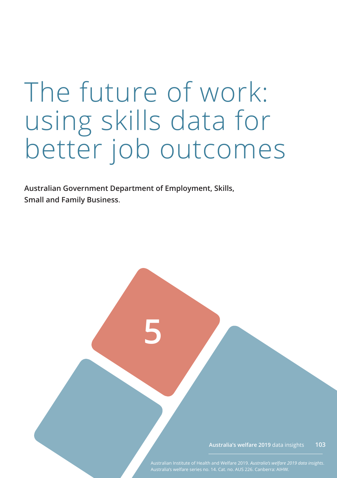# The future of work: using skills data for better job outcomes

**5**

**Australian Government Department of Employment, Skills, Small and Family Business**.

> **Australia's welfare 2019** data insights **103**

Australian Institute of Health and Welfare 2019. *Australia's welfare 2019 data insights*.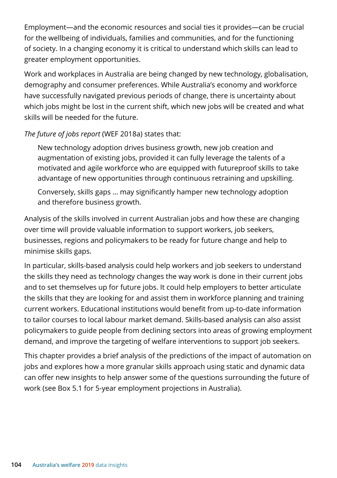Employment—and the economic resources and social ties it provides—can be crucial for the wellbeing of individuals, families and communities, and for the functioning of society. In a changing economy it is critical to understand which skills can lead to greater employment opportunities.

Work and workplaces in Australia are being changed by new technology, globalisation, demography and consumer preferences. While Australia's economy and workforce have successfully navigated previous periods of change, there is uncertainty about which jobs might be lost in the current shift, which new jobs will be created and what skills will be needed for the future.

*The future of jobs report* (WEF 2018a) states that:

New technology adoption drives business growth, new job creation and augmentation of existing jobs, provided it can fully leverage the talents of a motivated and agile workforce who are equipped with futureproof skills to take advantage of new opportunities through continuous retraining and upskilling.

Conversely, skills gaps … may significantly hamper new technology adoption and therefore business growth.

Analysis of the skills involved in current Australian jobs and how these are changing over time will provide valuable information to support workers, job seekers, businesses, regions and policymakers to be ready for future change and help to minimise skills gaps.

In particular, skills-based analysis could help workers and job seekers to understand the skills they need as technology changes the way work is done in their current jobs and to set themselves up for future jobs. It could help employers to better articulate the skills that they are looking for and assist them in workforce planning and training current workers. Educational institutions would benefit from up-to-date information to tailor courses to local labour market demand. Skills-based analysis can also assist policymakers to guide people from declining sectors into areas of growing employment demand, and improve the targeting of welfare interventions to support job seekers.

This chapter provides a brief analysis of the predictions of the impact of automation on jobs and explores how a more granular skills approach using static and dynamic data can offer new insights to help answer some of the questions surrounding the future of work (see Box 5.1 for 5-year employment projections in Australia).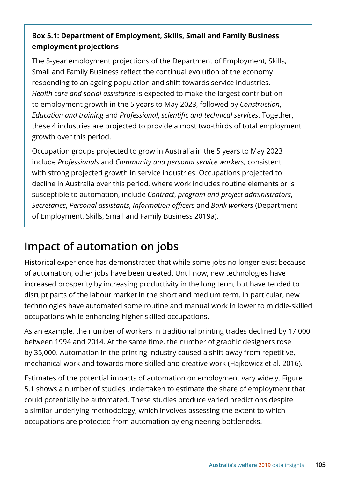#### **Box 5.1: Department of Employment, Skills, Small and Family Business employment projections**

The 5-year employment projections of the Department of Employment, Skills, Small and Family Business reflect the continual evolution of the economy responding to an ageing population and shift towards service industries. *Health care and social assistance* is expected to make the largest contribution to employment growth in the 5 years to May 2023, followed by *Construction*, *Education and training* and *Professional*, *scientific and technical services*. Together, these 4 industries are projected to provide almost two-thirds of total employment growth over this period.

Occupation groups projected to grow in Australia in the 5 years to May 2023 include *Professionals* and *Community and personal service workers*, consistent with strong projected growth in service industries. Occupations projected to decline in Australia over this period, where work includes routine elements or is susceptible to automation, include *Contract*, *program and project administrators*, *Secretaries*, *Personal assistants*, *Information officers* and *Bank workers* (Department of Employment, Skills, Small and Family Business 2019a).

# **Impact of automation on jobs**

Historical experience has demonstrated that while some jobs no longer exist because of automation, other jobs have been created. Until now, new technologies have increased prosperity by increasing productivity in the long term, but have tended to disrupt parts of the labour market in the short and medium term. In particular, new technologies have automated some routine and manual work in lower to middle-skilled occupations while enhancing higher skilled occupations.

As an example, the number of workers in traditional printing trades declined by 17,000 between 1994 and 2014. At the same time, the number of graphic designers rose by 35,000. Automation in the printing industry caused a shift away from repetitive, mechanical work and towards more skilled and creative work (Hajkowicz et al. 2016).

Estimates of the potential impacts of automation on employment vary widely. Figure 5.1 shows a number of studies undertaken to estimate the share of employment that could potentially be automated. These studies produce varied predictions despite a similar underlying methodology, which involves assessing the extent to which occupations are protected from automation by engineering bottlenecks.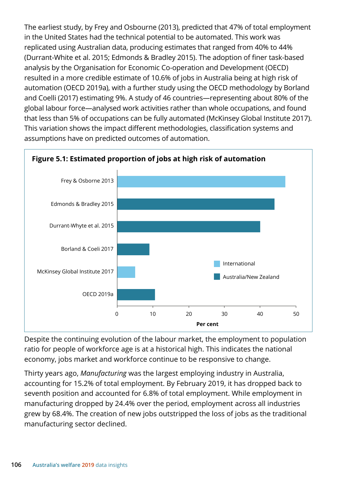The earliest study, by Frey and Osbourne (2013), predicted that 47% of total employment in the United States had the technical potential to be automated. This work was replicated using Australian data, producing estimates that ranged from 40% to 44% (Durrant-White et al. 2015; Edmonds & Bradley 2015). The adoption of finer task-based analysis by the Organisation for Economic Co-operation and Development (OECD) resulted in a more credible estimate of 10.6% of jobs in Australia being at high risk of automation (OECD 2019a), with a further study using the OECD methodology by Borland and Coelli (2017) estimating 9%. A study of 46 countries—representing about 80% of the global labour force—analysed work activities rather than whole occupations, and found that less than 5% of occupations can be fully automated (McKinsey Global Institute 2017). This variation shows the impact different methodologies, classification systems and assumptions have on predicted outcomes of automation.



Despite the continuing evolution of the labour market, the employment to population ratio for people of workforce age is at a historical high. This indicates the national economy, jobs market and workforce continue to be responsive to change.

Thirty years ago, *Manufacturing* was the largest employing industry in Australia, accounting for 15.2% of total employment. By February 2019, it has dropped back to seventh position and accounted for 6.8% of total employment. While employment in manufacturing dropped by 24.4% over the period, employment across all industries grew by 68.4%. The creation of new jobs outstripped the loss of jobs as the traditional manufacturing sector declined.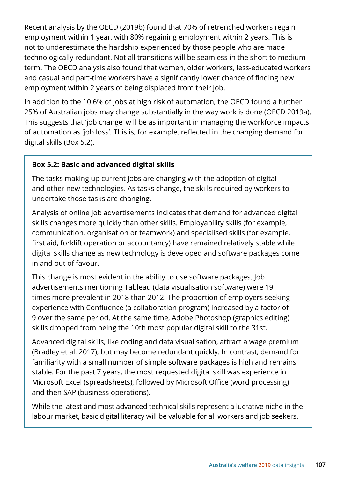Recent analysis by the OECD (2019b) found that 70% of retrenched workers regain employment within 1 year, with 80% regaining employment within 2 years. This is not to underestimate the hardship experienced by those people who are made technologically redundant. Not all transitions will be seamless in the short to medium term. The OECD analysis also found that women, older workers, less-educated workers and casual and part-time workers have a significantly lower chance of finding new employment within 2 years of being displaced from their job.

In addition to the 10.6% of jobs at high risk of automation, the OECD found a further 25% of Australian jobs may change substantially in the way work is done (OECD 2019a). This suggests that 'job change' will be as important in managing the workforce impacts of automation as 'job loss'. This is, for example, reflected in the changing demand for digital skills (Box 5.2).

#### **Box 5.2: Basic and advanced digital skills**

The tasks making up current jobs are changing with the adoption of digital and other new technologies. As tasks change, the skills required by workers to undertake those tasks are changing.

Analysis of online job advertisements indicates that demand for advanced digital skills changes more quickly than other skills. Employability skills (for example, communication, organisation or teamwork) and specialised skills (for example, first aid, forklift operation or accountancy) have remained relatively stable while digital skills change as new technology is developed and software packages come in and out of favour.

This change is most evident in the ability to use software packages. Job advertisements mentioning Tableau (data visualisation software) were 19 times more prevalent in 2018 than 2012. The proportion of employers seeking experience with Confluence (a collaboration program) increased by a factor of 9 over the same period. At the same time, Adobe Photoshop (graphics editing) skills dropped from being the 10th most popular digital skill to the 31st.

Advanced digital skills, like coding and data visualisation, attract a wage premium (Bradley et al. 2017), but may become redundant quickly. In contrast, demand for familiarity with a small number of simple software packages is high and remains stable. For the past 7 years, the most requested digital skill was experience in Microsoft Excel (spreadsheets), followed by Microsoft Office (word processing) and then SAP (business operations).

While the latest and most advanced technical skills represent a lucrative niche in the labour market, basic digital literacy will be valuable for all workers and job seekers.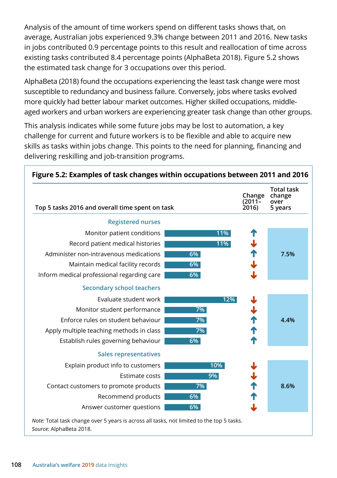Analysis of the amount of time workers spend on different tasks shows that, on average, Australian jobs experienced 9.3% change between 2011 and 2016. New tasks in jobs contributed 0.9 percentage points to this result and reallocation of time across existing tasks contributed 8.4 percentage points (AlphaBeta 2018). Figure 5.2 shows the estimated task change for 3 occupations over this period.

AlphaBeta (2018) found the occupations experiencing the least task change were most susceptible to redundancy and business failure. Conversely, jobs where tasks evolved more quickly had better labour market outcomes. Higher skilled occupations, middleaged workers and urban workers are experiencing greater task change than other groups.

This analysis indicates while some future jobs may be lost to automation, a key challenge for current and future workers is to be flexible and able to acquire new skills as tasks within jobs change. This points to the need for planning, financing and delivering reskilling and job-transition programs.

| Top 5 tasks 2016 and overall time spent on task |     | Change<br>(2011–<br>2016) | <b>Total task</b><br>change<br>over<br>5 years |
|-------------------------------------------------|-----|---------------------------|------------------------------------------------|
| <b>Registered nurses</b>                        |     |                           |                                                |
| Monitor patient conditions                      | 11% |                           |                                                |
| Record patient medical histories                | 11% |                           |                                                |
| Administer non-intravenous medications          | 6%  |                           | 7.5%                                           |
| Maintain medical facility records               | 6%  |                           |                                                |
| Inform medical professional regarding care      | 6%  |                           |                                                |
| <b>Secondary school teachers</b>                |     |                           |                                                |
| Evaluate student work                           | 12% |                           |                                                |
| Monitor student performance                     | 7%  | すすれ サイ                    |                                                |
| Enforce rules on student behaviour              | 7%  |                           | 4.4%                                           |
| Apply multiple teaching methods in class        | 7%  |                           |                                                |
| Establish rules governing behaviour             | 6%  |                           |                                                |
| <b>Sales representatives</b>                    |     |                           |                                                |
| Explain product info to customers               | 10% |                           |                                                |
| Estimate costs                                  | 9%  |                           |                                                |
| Contact customers to promote products           | 7%  | ↓个个                       | 8.6%                                           |
| Recommend products                              | 6%  |                           |                                                |
| Answer customer questions                       | 6%  |                           |                                                |

*Note:* Total task change over 5 years is across all tasks, not limited to the top 5 tasks. *Source:* AlphaBeta 2018.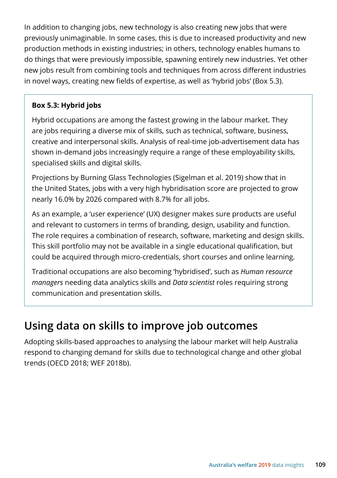In addition to changing jobs, new technology is also creating new jobs that were previously unimaginable. In some cases, this is due to increased productivity and new production methods in existing industries; in others, technology enables humans to do things that were previously impossible, spawning entirely new industries. Yet other new jobs result from combining tools and techniques from across different industries in novel ways, creating new fields of expertise, as well as 'hybrid jobs' (Box 5.3).

#### **Box 5.3: Hybrid jobs**

Hybrid occupations are among the fastest growing in the labour market. They are jobs requiring a diverse mix of skills, such as technical, software, business, creative and interpersonal skills. Analysis of real-time job-advertisement data has shown in-demand jobs increasingly require a range of these employability skills, specialised skills and digital skills.

Projections by Burning Glass Technologies (Sigelman et al. 2019) show that in the United States, jobs with a very high hybridisation score are projected to grow nearly 16.0% by 2026 compared with 8.7% for all jobs.

As an example, a 'user experience' (UX) designer makes sure products are useful and relevant to customers in terms of branding, design, usability and function. The role requires a combination of research, software, marketing and design skills. This skill portfolio may not be available in a single educational qualification, but could be acquired through micro-credentials, short courses and online learning.

Traditional occupations are also becoming 'hybridised', such as *Human resource managers* needing data analytics skills and *Data scientist* roles requiring strong communication and presentation skills.

## **Using data on skills to improve job outcomes**

Adopting skills-based approaches to analysing the labour market will help Australia respond to changing demand for skills due to technological change and other global trends (OECD 2018; WEF 2018b).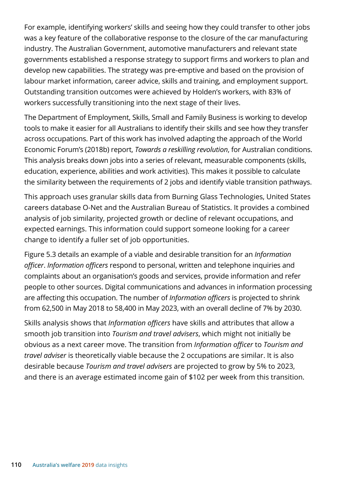For example, identifying workers' skills and seeing how they could transfer to other jobs was a key feature of the collaborative response to the closure of the car manufacturing industry. The Australian Government, automotive manufacturers and relevant state governments established a response strategy to support firms and workers to plan and develop new capabilities. The strategy was pre-emptive and based on the provision of labour market information, career advice, skills and training, and employment support. Outstanding transition outcomes were achieved by Holden's workers, with 83% of workers successfully transitioning into the next stage of their lives.

The Department of Employment, Skills, Small and Family Business is working to develop tools to make it easier for all Australians to identify their skills and see how they transfer across occupations. Part of this work has involved adapting the approach of the World Economic Forum's (2018b) report, *Towards a reskilling revolution*, for Australian conditions. This analysis breaks down jobs into a series of relevant, measurable components (skills, education, experience, abilities and work activities). This makes it possible to calculate the similarity between the requirements of 2 jobs and identify viable transition pathways.

This approach uses granular skills data from Burning Glass Technologies, United States careers database O-Net and the Australian Bureau of Statistics. It provides a combined analysis of job similarity, projected growth or decline of relevant occupations, and expected earnings. This information could support someone looking for a career change to identify a fuller set of job opportunities.

Figure 5.3 details an example of a viable and desirable transition for an *Information officer*. *Information officers* respond to personal, written and telephone inquiries and complaints about an organisation's goods and services, provide information and refer people to other sources. Digital communications and advances in information processing are affecting this occupation. The number of *Information officers* is projected to shrink from 62,500 in May 2018 to 58,400 in May 2023, with an overall decline of 7% by 2030.

Skills analysis shows that *Information officers* have skills and attributes that allow a smooth job transition into *Tourism and travel advisers*, which might not initially be obvious as a next career move. The transition from *Information officer* to *Tourism and travel adviser* is theoretically viable because the 2 occupations are similar. It is also desirable because *Tourism and travel advisers* are projected to grow by 5% to 2023, and there is an average estimated income gain of \$102 per week from this transition.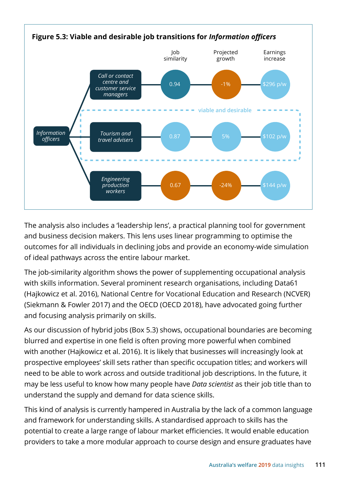

The analysis also includes a 'leadership lens', a practical planning tool for government and business decision makers. This lens uses linear programming to optimise the outcomes for all individuals in declining jobs and provide an economy-wide simulation of ideal pathways across the entire labour market.

The job-similarity algorithm shows the power of supplementing occupational analysis with skills information. Several prominent research organisations, including Data61 (Hajkowicz et al. 2016), National Centre for Vocational Education and Research (NCVER) (Siekmann & Fowler 2017) and the OECD (OECD 2018), have advocated going further and focusing analysis primarily on skills.

As our discussion of hybrid jobs (Box 5.3) shows, occupational boundaries are becoming blurred and expertise in one field is often proving more powerful when combined with another (Hajkowicz et al. 2016). It is likely that businesses will increasingly look at prospective employees' skill sets rather than specific occupation titles; and workers will need to be able to work across and outside traditional job descriptions. In the future, it may be less useful to know how many people have *Data scientist* as their job title than to understand the supply and demand for data science skills.

This kind of analysis is currently hampered in Australia by the lack of a common language and framework for understanding skills. A standardised approach to skills has the potential to create a large range of labour market efficiencies. It would enable education providers to take a more modular approach to course design and ensure graduates have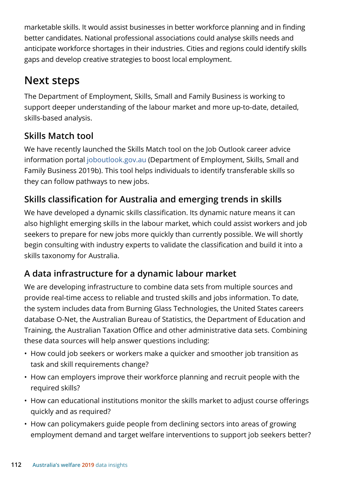marketable skills. It would assist businesses in better workforce planning and in finding better candidates. National professional associations could analyse skills needs and anticipate workforce shortages in their industries. Cities and regions could identify skills gaps and develop creative strategies to boost local employment.

# **Next steps**

The Department of Employment, Skills, Small and Family Business is working to support deeper understanding of the labour market and more up-to-date, detailed, skills-based analysis.

### **Skills Match tool**

We have recently launched the Skills Match tool on the Job Outlook career advice information portal [joboutlook.gov.au](https://joboutlook.gov.au/) (Department of Employment, Skills, Small and Family Business 2019b). This tool helps individuals to identify transferable skills so they can follow pathways to new jobs.

## **Skills classification for Australia and emerging trends in skills**

We have developed a dynamic skills classification. Its dynamic nature means it can also highlight emerging skills in the labour market, which could assist workers and job seekers to prepare for new jobs more quickly than currently possible. We will shortly begin consulting with industry experts to validate the classification and build it into a skills taxonomy for Australia.

### **A data infrastructure for a dynamic labour market**

We are developing infrastructure to combine data sets from multiple sources and provide real-time access to reliable and trusted skills and jobs information. To date, the system includes data from Burning Glass Technologies, the United States careers database O-Net, the Australian Bureau of Statistics, the Department of Education and Training, the Australian Taxation Office and other administrative data sets. Combining these data sources will help answer questions including:

- How could job seekers or workers make a quicker and smoother job transition as task and skill requirements change?
- How can employers improve their workforce planning and recruit people with the required skills?
- How can educational institutions monitor the skills market to adjust course offerings quickly and as required?
- How can policymakers guide people from declining sectors into areas of growing employment demand and target welfare interventions to support job seekers better?